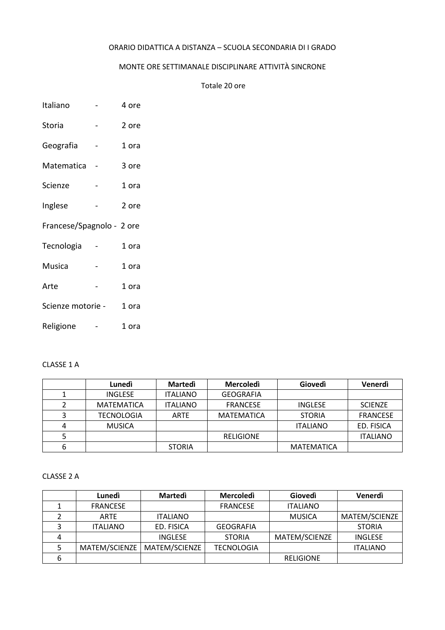### ORARIO DIDATTICA A DISTANZA – SCUOLA SECONDARIA DI I GRADO

## MONTE ORE SETTIMANALE DISCIPLINARE ATTIVITÀ SINCRONE

Totale 20 ore

| Italiano | 4 ore |
|----------|-------|
|          |       |

- Storia 2 ore Geografia - 1 ora
- Matematica 3 ore
- Scienze 1 ora
- Inglese 2 ore
- Francese/Spagnolo 2 ore
- Tecnologia 1 ora
- Musica 1 ora
- Arte 1 ora
- Scienze motorie 1 ora
- Religione 1 ora

### CLASSE 1 A

|   | Lunedì            | Martedì         | Mercoledì         | Giovedì         | Venerdì         |
|---|-------------------|-----------------|-------------------|-----------------|-----------------|
|   | <b>INGLESE</b>    | <b>ITALIANO</b> | <b>GEOGRAFIA</b>  |                 |                 |
|   | <b>MATEMATICA</b> | <b>ITALIANO</b> | <b>FRANCESE</b>   | <b>INGLESE</b>  | <b>SCIENZE</b>  |
|   | <b>TECNOLOGIA</b> | <b>ARTE</b>     | <b>MATEMATICA</b> | <b>STORIA</b>   | <b>FRANCESE</b> |
| 4 | <b>MUSICA</b>     |                 |                   | <b>ITALIANO</b> | ED. FISICA      |
|   |                   |                 | <b>RELIGIONE</b>  |                 | <b>ITALIANO</b> |
| 6 |                   | <b>STORIA</b>   |                   | MATEMATICA      |                 |

#### CLASSE 2 A

|   | Lunedì          | <b>Martedi</b>  | <b>Mercoledì</b>  | Giovedì          | Venerdì         |
|---|-----------------|-----------------|-------------------|------------------|-----------------|
|   | <b>FRANCESE</b> |                 | <b>FRANCESE</b>   | <b>ITALIANO</b>  |                 |
|   | <b>ARTE</b>     | <b>ITALIANO</b> |                   | <b>MUSICA</b>    | MATEM/SCIENZE   |
|   | <b>ITALIANO</b> | ED. FISICA      | <b>GEOGRAFIA</b>  |                  | <b>STORIA</b>   |
|   |                 | <b>INGLESE</b>  | <b>STORIA</b>     | MATEM/SCIENZE    | <b>INGLESE</b>  |
|   | MATEM/SCIENZE   | MATEM/SCIENZE   | <b>TECNOLOGIA</b> |                  | <b>ITALIANO</b> |
| 6 |                 |                 |                   | <b>RELIGIONE</b> |                 |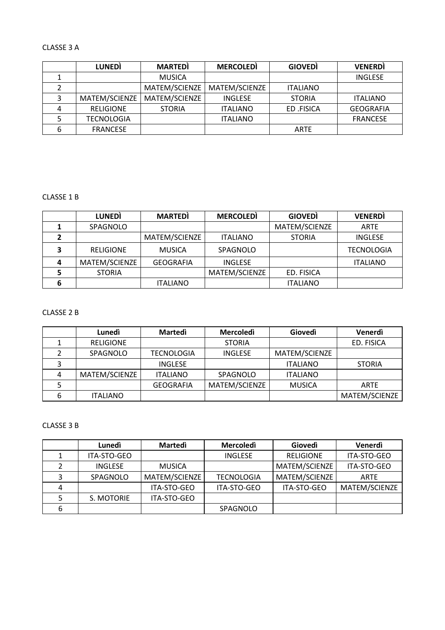### CLASSE 3 A

|   | <b>LUNEDI</b>     | <b>MARTEDI</b> | <b>MERCOLEDI</b> | <b>GIOVEDI</b>  | <b>VENERDI</b>   |
|---|-------------------|----------------|------------------|-----------------|------------------|
|   |                   | <b>MUSICA</b>  |                  |                 | <b>INGLESE</b>   |
|   |                   | MATEM/SCIENZE  | MATEM/SCIENZE    | <b>ITALIANO</b> |                  |
|   | MATEM/SCIENZE     | MATEM/SCIENZE  | <b>INGLESE</b>   | <b>STORIA</b>   | <b>ITALIANO</b>  |
|   | <b>RELIGIONE</b>  | <b>STORIA</b>  | <b>ITALIANO</b>  | ED .FISICA      | <b>GEOGRAFIA</b> |
|   | <b>TECNOLOGIA</b> |                | <b>ITALIANO</b>  |                 | <b>FRANCESE</b>  |
| 6 | <b>FRANCESE</b>   |                |                  | <b>ARTE</b>     |                  |

### CLASSE 1 B

|   | <b>LUNEDI</b>    | <b>MARTEDI</b>   | <b>MERCOLEDI</b> | <b>GIOVEDI</b>  | <b>VENERDI</b>    |
|---|------------------|------------------|------------------|-----------------|-------------------|
|   | SPAGNOLO         |                  |                  | MATEM/SCIENZE   | <b>ARTE</b>       |
|   |                  | MATEM/SCIENZE    | <b>ITALIANO</b>  | <b>STORIA</b>   | <b>INGLESE</b>    |
| Э | <b>RELIGIONE</b> | <b>MUSICA</b>    | SPAGNOLO         |                 | <b>TECNOLOGIA</b> |
| 4 | MATEM/SCIENZE    | <b>GEOGRAFIA</b> | <b>INGLESE</b>   |                 | <b>ITALIANO</b>   |
|   | <b>STORIA</b>    |                  | MATEM/SCIENZE    | ED. FISICA      |                   |
|   |                  | <b>ITALIANO</b>  |                  | <b>ITALIANO</b> |                   |

### CLASSE 2 B

|   | Lunedì           | <b>Martedi</b>    | <b>Mercoledì</b> | Giovedì         | Venerdì       |
|---|------------------|-------------------|------------------|-----------------|---------------|
|   | <b>RELIGIONE</b> |                   | <b>STORIA</b>    |                 | ED. FISICA    |
|   | SPAGNOLO         | <b>TECNOLOGIA</b> | <b>INGLESE</b>   | MATEM/SCIENZE   |               |
|   |                  | <b>INGLESE</b>    |                  | <b>ITALIANO</b> | <b>STORIA</b> |
|   | MATEM/SCIENZE    | <b>ITALIANO</b>   | SPAGNOLO         | <b>ITALIANO</b> |               |
|   |                  | <b>GEOGRAFIA</b>  | MATEM/SCIENZE    | <b>MUSICA</b>   | <b>ARTE</b>   |
| 6 | <b>ITALIANO</b>  |                   |                  |                 | MATEM/SCIENZE |

### CLASSE 3 B

|   | Lunedì         | <b>Martedi</b> | <b>Mercoledì</b>  | Giovedì          | Venerdì       |
|---|----------------|----------------|-------------------|------------------|---------------|
|   | ITA-STO-GEO    |                | <b>INGLESE</b>    | <b>RELIGIONE</b> | ITA-STO-GEO   |
| າ | <b>INGLESE</b> | <b>MUSICA</b>  |                   | MATEM/SCIENZE    | ITA-STO-GEO   |
| 3 | SPAGNOLO       | MATEM/SCIENZE  | <b>TECNOLOGIA</b> | MATEM/SCIENZE    | ARTE          |
| 4 |                | ITA-STO-GEO    | ITA-STO-GEO       | ITA-STO-GEO      | MATEM/SCIENZE |
|   | S. MOTORIE     | ITA-STO-GEO    |                   |                  |               |
| 6 |                |                | SPAGNOLO          |                  |               |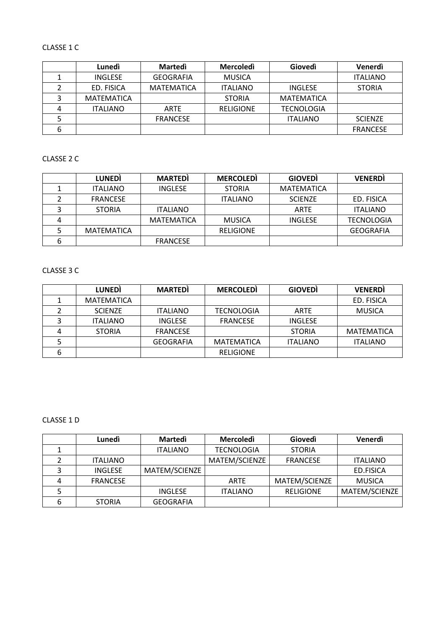# CLASSE 1 C

|   | Lunedì            | Martedì           | Mercoledì        | Giovedì           | Venerdì         |
|---|-------------------|-------------------|------------------|-------------------|-----------------|
|   | <b>INGLESE</b>    | <b>GEOGRAFIA</b>  | <b>MUSICA</b>    |                   | <b>ITALIANO</b> |
|   | ED. FISICA        | <b>MATEMATICA</b> | <b>ITALIANO</b>  | <b>INGLESE</b>    | <b>STORIA</b>   |
|   | <b>MATEMATICA</b> |                   | <b>STORIA</b>    | MATEMATICA        |                 |
| 4 | <b>ITALIANO</b>   | <b>ARTE</b>       | <b>RELIGIONE</b> | <b>TECNOLOGIA</b> |                 |
|   |                   | <b>FRANCESE</b>   |                  | <b>ITALIANO</b>   | <b>SCIENZE</b>  |
| 6 |                   |                   |                  |                   | <b>FRANCESE</b> |

### CLASSE 2 C

|   | <b>LUNEDI</b>     | <b>MARTEDI</b>  | <b>MERCOLEDI</b> | <b>GIOVEDI</b>    | <b>VENERDI</b>    |
|---|-------------------|-----------------|------------------|-------------------|-------------------|
|   | <b>ITALIANO</b>   | <b>INGLESE</b>  | <b>STORIA</b>    | <b>MATEMATICA</b> |                   |
|   | <b>FRANCESE</b>   |                 | <b>ITALIANO</b>  | <b>SCIENZE</b>    | ED. FISICA        |
|   | <b>STORIA</b>     | <b>ITALIANO</b> |                  | <b>ARTE</b>       | <b>ITALIANO</b>   |
| 4 |                   | MATEMATICA      | <b>MUSICA</b>    | <b>INGLESE</b>    | <b>TECNOLOGIA</b> |
|   | <b>MATEMATICA</b> |                 | <b>RELIGIONE</b> |                   | <b>GEOGRAFIA</b>  |
| 6 |                   | <b>FRANCESE</b> |                  |                   |                   |

## CLASSE 3 C

|   | <b>LUNEDI</b>     | <b>MARTEDI</b>   | <b>MERCOLEDI</b>  | <b>GIOVEDI</b>  | <b>VENERDI</b>  |
|---|-------------------|------------------|-------------------|-----------------|-----------------|
|   | <b>MATEMATICA</b> |                  |                   |                 | ED. FISICA      |
|   | <b>SCIENZE</b>    | <b>ITALIANO</b>  | <b>TECNOLOGIA</b> | ARTE            | <b>MUSICA</b>   |
|   | <b>ITALIANO</b>   | <b>INGLESE</b>   | <b>FRANCESE</b>   | <b>INGLESE</b>  |                 |
|   | <b>STORIA</b>     | <b>FRANCESE</b>  |                   | <b>STORIA</b>   | MATEMATICA      |
|   |                   | <b>GEOGRAFIA</b> | MATEMATICA        | <b>ITALIANO</b> | <b>ITALIANO</b> |
| 6 |                   |                  | <b>RELIGIONE</b>  |                 |                 |

### CLASSE 1 D

|   | Lunedì          | Martedì          | <b>Mercoledì</b>  | Giovedì          | Venerdì         |
|---|-----------------|------------------|-------------------|------------------|-----------------|
|   |                 | <b>ITALIANO</b>  | <b>TECNOLOGIA</b> | <b>STORIA</b>    |                 |
|   | <b>ITALIANO</b> |                  | MATEM/SCIENZE     | <b>FRANCESE</b>  | <b>ITALIANO</b> |
|   | <b>INGLESE</b>  | MATEM/SCIENZE    |                   |                  | ED.FISICA       |
| Δ | <b>FRANCESE</b> |                  | <b>ARTE</b>       | MATEM/SCIENZE    | <b>MUSICA</b>   |
|   |                 | <b>INGLESE</b>   | <b>ITALIANO</b>   | <b>RELIGIONE</b> | MATEM/SCIENZE   |
| 6 | <b>STORIA</b>   | <b>GEOGRAFIA</b> |                   |                  |                 |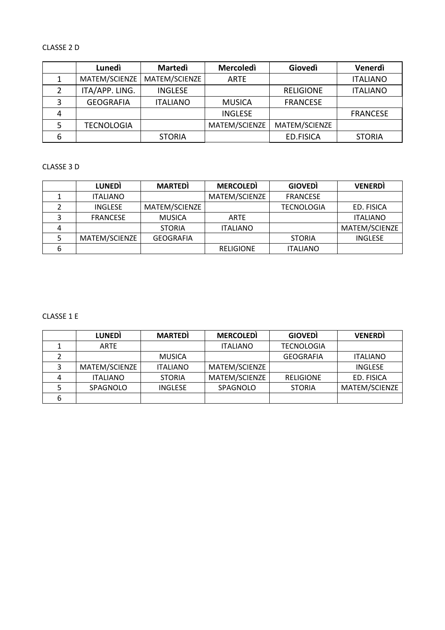# CLASSE 2 D

|   | Lunedì            | <b>Martedi</b>  | <b>Mercoledì</b> | <b>Giovedì</b>   | Venerdì         |
|---|-------------------|-----------------|------------------|------------------|-----------------|
|   | MATEM/SCIENZE     | MATEM/SCIENZE   | <b>ARTE</b>      |                  | <b>ITALIANO</b> |
|   | ITA/APP. LING.    | <b>INGLESE</b>  |                  | <b>RELIGIONE</b> | <b>ITALIANO</b> |
|   | <b>GEOGRAFIA</b>  | <b>ITALIANO</b> | <b>MUSICA</b>    | <b>FRANCESE</b>  |                 |
| 4 |                   |                 | <b>INGLESE</b>   |                  | <b>FRANCESE</b> |
|   | <b>TECNOLOGIA</b> |                 | MATEM/SCIENZE    | MATEM/SCIENZE    |                 |
| 6 |                   | <b>STORIA</b>   |                  | <b>ED.FISICA</b> | <b>STORIA</b>   |

### CLASSE 3 D

|   | <b>LUNEDI</b>   | <b>MARTEDI</b>   | <b>MERCOLEDI</b> | <b>GIOVEDI</b>    | <b>VENERDI</b>  |
|---|-----------------|------------------|------------------|-------------------|-----------------|
|   | <b>ITALIANO</b> |                  | MATEM/SCIENZE    | <b>FRANCESE</b>   |                 |
|   | <b>INGLESE</b>  | MATEM/SCIENZE    |                  | <b>TECNOLOGIA</b> | ED. FISICA      |
|   | <b>FRANCESE</b> | <b>MUSICA</b>    | <b>ARTE</b>      |                   | <b>ITALIANO</b> |
|   |                 | <b>STORIA</b>    | <b>ITALIANO</b>  |                   | MATEM/SCIENZE   |
|   | MATEM/SCIENZE   | <b>GEOGRAFIA</b> |                  | <b>STORIA</b>     | <b>INGLESE</b>  |
| 6 |                 |                  | <b>RELIGIONE</b> | <b>ITALIANO</b>   |                 |

### CLASSE 1 E

|   | <b>LUNEDI</b>   | <b>MARTEDI</b>  | <b>MERCOLEDI</b> | <b>GIOVEDI</b>    | <b>VENERDI</b>  |
|---|-----------------|-----------------|------------------|-------------------|-----------------|
|   | ARTE            |                 | <b>ITALIANO</b>  | <b>TECNOLOGIA</b> |                 |
|   |                 | <b>MUSICA</b>   |                  | GEOGRAFIA         | <b>ITALIANO</b> |
|   | MATEM/SCIENZE   | <b>ITALIANO</b> | MATEM/SCIENZE    |                   | <b>INGLESE</b>  |
| Δ | <b>ITALIANO</b> | <b>STORIA</b>   | MATEM/SCIENZE    | <b>RELIGIONE</b>  | ED. FISICA      |
|   | SPAGNOLO        | <b>INGLESE</b>  | SPAGNOLO         | <b>STORIA</b>     | MATEM/SCIENZE   |
| 6 |                 |                 |                  |                   |                 |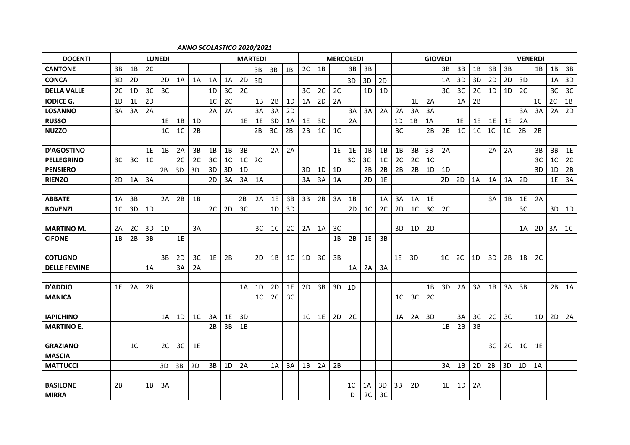#### *ANNO SCOLASTICO 2020/2021*

| <b>DOCENTI</b>      | <b>LUNEDI</b> |                |                |                |                |                | <b>MARTEDI</b> |                |                |                |                |    |                | <b>MERCOLEDI</b> |    |                |                |                |                |                |                | <b>GIOVEDI</b> |                |    | <b>VENERDI</b> |    |                |                |                |                |
|---------------------|---------------|----------------|----------------|----------------|----------------|----------------|----------------|----------------|----------------|----------------|----------------|----|----------------|------------------|----|----------------|----------------|----------------|----------------|----------------|----------------|----------------|----------------|----|----------------|----|----------------|----------------|----------------|----------------|
| <b>CANTONE</b>      | 3B            | 1B             | 2C             |                |                |                |                |                |                | 3B             | 3B             | 1B | 2C             | 1B               |    | 3B             | 3B             |                |                |                |                | 3B             | 3B             | 1B | 3B             | 3B |                | 1B             | 1B             | 3B             |
| <b>CONCA</b>        | 3D            | 2D             |                | 2D             | 1A             | 1A             | 1A             | 1A             | 2D             | 3D             |                |    |                |                  |    | 3D             | 3D             | 2D             |                |                |                | 1A             | 3D             | 3D | 2D             | 2D | 3D             |                | 1A             | 3D             |
| <b>DELLA VALLE</b>  | 2C            | 1D             | 3C             | 3C             |                |                | 1D             | 3C             | 2C             |                |                |    | 3C             | 2C               | 2C |                | 1D             | 1D             |                |                |                | 3 <sub>C</sub> | 3C             | 2C | 1 <sub>D</sub> | 1D | 2C             |                | 3C             | 3C             |
| <b>IODICE G.</b>    | 1D            | 1E             | 2D             |                |                |                | 1 <sup>C</sup> | 2C             |                | 1B             | 2B             | 1D | 1A             | 2D               | 2A |                |                |                |                | 1E             | 2A             |                | 1A             | 2B |                |    |                | 1 <sup>C</sup> | 2C             | 1B             |
| <b>LOSANNO</b>      | 3A            | 3A             | 2A             |                |                |                | 2A             | 2A             |                | 3A             | 3A             | 2D |                |                  |    | 3A             | 3A             | 2A             | 2A             | 3A             | 3A             |                |                |    |                |    | 3A             | 3A             |                | $2A$ 2D        |
| <b>RUSSO</b>        |               |                |                | 1E             | 1B             | 1D             |                |                | 1E             | 1E             | 3D             | 1A | 1E             | 3D               |    | 2A             |                |                | 1D             | 1B             | 1A             |                | 1E             | 1E | 1E             | 1E | 2A             |                |                |                |
| <b>NUZZO</b>        |               |                |                | 1 <sup>C</sup> | 1 <sup>C</sup> | 2B             |                |                |                | 2B             | 3C             | 2B | 2B             | 1 <sup>C</sup>   | 1C |                |                |                | 3C             |                | 2B             | 2B             | 1 <sup>C</sup> | 1C | 1 <sup>C</sup> | 1C | 2B             | 2B             |                |                |
|                     |               |                |                |                |                |                |                |                |                |                |                |    |                |                  |    |                |                |                |                |                |                |                |                |    |                |    |                |                |                |                |
| <b>D'AGOSTINO</b>   |               |                | 1E             | 1B             | 2A             | 3B             | 1B             | 1B             | 3B             |                | 2A             | 2A |                |                  | 1E | 1E             | 1B             | 1B             | 1B             | 3B             | 3B             | 2A             |                |    | 2A             | 2A |                | 3B             | 3B             | 1E             |
| <b>PELLEGRINO</b>   | 3C            | 3C             | 1 <sup>C</sup> |                | 2C             | 2C             | 3C             | 1 <sup>C</sup> | 1 <sup>C</sup> | 2C             |                |    |                |                  |    | 3C             | 3C             | 1 <sup>C</sup> | 2C             | 2C             | 1 <sup>C</sup> |                |                |    |                |    |                | 3C             | 1 <sup>C</sup> | 2C             |
| <b>PENSIERO</b>     |               |                |                | 2B             | 3D             | 3D             | 3D             | 3D             | 1D             |                |                |    | 3D             | 1D               | 1D |                | 2B             | 2B             | 2B             | 2B             | 1D             | 1D             |                |    |                |    |                | 3D             | 1D             | 2B             |
| <b>RIENZO</b>       | 2D            | 1A             | 3A             |                |                |                | 2D             | 3A             | 3A             | 1A             |                |    | 3A             | 3A               | 1A |                | 2D             | 1E             |                |                |                | 2D             | 2D             | 1A | 1A             | 1A | 2D             |                | 1E             | 3A             |
|                     |               |                |                |                |                |                |                |                |                |                |                |    |                |                  |    |                |                |                |                |                |                |                |                |    |                |    |                |                |                |                |
| <b>ABBATE</b>       | 1A            | 3B             |                | 2A             | 2B             | 1B             |                |                | 2B             | 2A             | 1E             | 3B | 3B             | 2B               | 3A | 1B             |                | 1A             | 3A             | 1A             | 1E             |                |                |    | 3A             | 1B | 1E             | 2A             |                |                |
| <b>BOVENZI</b>      | 1C            | 3D             | 1D             |                |                |                | 2C             | 2D             | 3C             |                | 1D             | 3D |                |                  |    | 2D             | 1 <sup>C</sup> | 2C             | 2D             | 1 <sup>C</sup> | 3C             | 2C             |                |    |                |    | 3C             |                | 3D             | 1D             |
|                     |               |                |                |                |                |                |                |                |                |                |                |    |                |                  |    |                |                |                |                |                |                |                |                |    |                |    |                |                |                |                |
| <b>MARTINO M.</b>   | 2A            | 2C             | 3D             | 1D             |                | 3A             |                |                |                | 3C             | 1 <sup>C</sup> | 2C | 2A             | 1A               | 3C |                |                |                | 3D             | 1D             | 2D             |                |                |    |                |    | 1A             | 2D             | 3A             | 1 <sup>C</sup> |
| <b>CIFONE</b>       | 1B            | 2B             | 3B             |                | 1E             |                |                |                |                |                |                |    |                |                  | 1B | 2B             | 1E             | 3B             |                |                |                |                |                |    |                |    |                |                |                |                |
|                     |               |                |                |                |                |                |                |                |                |                |                |    |                |                  |    |                |                |                |                |                |                |                |                |    |                |    |                |                |                |                |
| <b>COTUGNO</b>      |               |                |                | 3B             | 2D             | 3C             | 1E             | 2B             |                | 2D             | 1B             | 1C | 1D             | 3C               | 3B |                |                |                | 1E             | 3D             |                | 1 <sup>C</sup> | 2C             | 1D | 3D             | 2B | 1B             | 2C             |                |                |
| <b>DELLE FEMINE</b> |               |                | 1A             |                | 3A             | 2A             |                |                |                |                |                |    |                |                  |    | 1A             | 2A             | 3A             |                |                |                |                |                |    |                |    |                |                |                |                |
|                     |               |                |                |                |                |                |                |                |                |                |                |    |                |                  |    |                |                |                |                |                |                |                |                |    |                |    |                |                |                |                |
| <b>D'ADDIO</b>      | 1E            | 2A             | 2B             |                |                |                |                |                | 1A             | 1D             | 2D             | 1E | 2D             | 3B               | 3D | 1D             |                |                |                |                | 1B             | 3D             | 2A             | 3A | 1B             | 3A | 3B             |                | 2B             | 1A             |
| <b>MANICA</b>       |               |                |                |                |                |                |                |                |                | 1 <sup>C</sup> | 2C             | 3C |                |                  |    |                |                |                | 1 <sup>C</sup> | 3C             | 2C             |                |                |    |                |    |                |                |                |                |
|                     |               |                |                |                |                |                |                |                |                |                |                |    |                |                  |    |                |                |                |                |                |                |                |                |    |                |    |                |                |                |                |
| <b>IAPICHINO</b>    |               |                |                | 1A             | 1D             | 1 <sup>C</sup> | 3A             | 1E             | 3D             |                |                |    | 1 <sup>C</sup> | 1E               | 2D | 2C             |                |                | 1A             | 2A             | 3D             |                | 3A             | 3C | 2C             | 3C |                | 1D             | 2D             | 2A             |
| <b>MARTINO E.</b>   |               |                |                |                |                |                | 2B             | 3B             | 1B             |                |                |    |                |                  |    |                |                |                |                |                |                | 1B             | 2B             | 3B |                |    |                |                |                |                |
|                     |               |                |                |                |                |                |                |                |                |                |                |    |                |                  |    |                |                |                |                |                |                |                |                |    |                |    |                |                |                |                |
| <b>GRAZIANO</b>     |               | 1 <sup>C</sup> |                | 2C             | 3C             | 1E             |                |                |                |                |                |    |                |                  |    |                |                |                |                |                |                |                |                |    | 3C             | 2C | 1 <sup>C</sup> | 1E             |                |                |
| <b>MASCIA</b>       |               |                |                |                |                |                |                |                |                |                |                |    |                |                  |    |                |                |                |                |                |                |                |                |    |                |    |                |                |                |                |
| <b>MATTUCCI</b>     |               |                |                | 3D             | 3B             | 2D             | 3B             | 1D             | 2A             |                | 1A             | 3A | 1B             | 2A               | 2B |                |                |                |                |                |                | 3A             | 1B             | 2D | 2B             | 3D | 1D             | 1A             |                |                |
|                     |               |                |                |                |                |                |                |                |                |                |                |    |                |                  |    |                |                |                |                |                |                |                |                |    |                |    |                |                |                |                |
| <b>BASILONE</b>     | 2B            |                | 1B             | 3A             |                |                |                |                |                |                |                |    |                |                  |    | 1 <sup>C</sup> | 1A             | 3D             | 3B             | 2D             |                | 1E             | 1D             | 2A |                |    |                |                |                |                |
| <b>MIRRA</b>        |               |                |                |                |                |                |                |                |                |                |                |    |                |                  |    | D              | 2C             | 3C             |                |                |                |                |                |    |                |    |                |                |                |                |